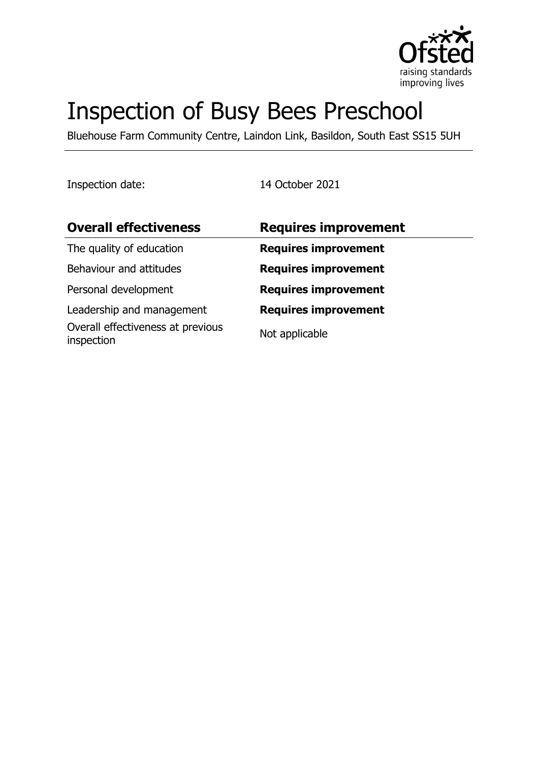

# Inspection of Busy Bees Preschool

Bluehouse Farm Community Centre, Laindon Link, Basildon, South East SS15 5UH

Inspection date: 14 October 2021

| <b>Requires improvement</b> |
|-----------------------------|
| <b>Requires improvement</b> |
| <b>Requires improvement</b> |
| <b>Requires improvement</b> |
| <b>Requires improvement</b> |
| Not applicable              |
|                             |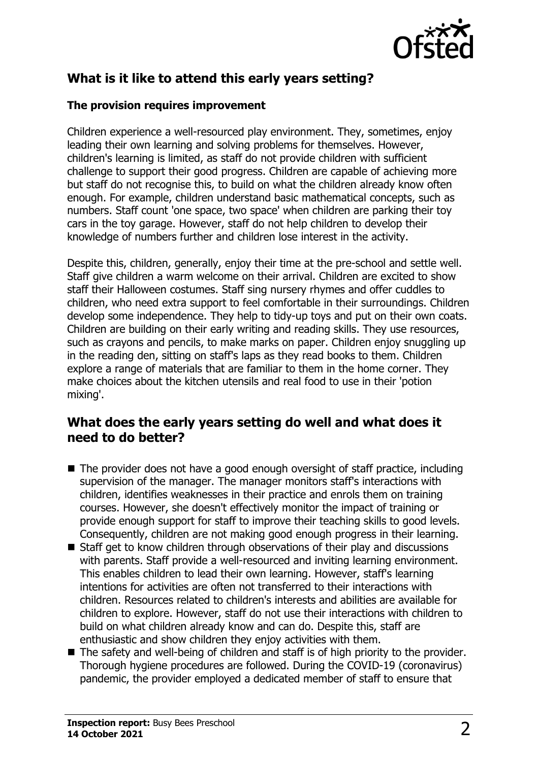

# **What is it like to attend this early years setting?**

#### **The provision requires improvement**

Children experience a well-resourced play environment. They, sometimes, enjoy leading their own learning and solving problems for themselves. However, children's learning is limited, as staff do not provide children with sufficient challenge to support their good progress. Children are capable of achieving more but staff do not recognise this, to build on what the children already know often enough. For example, children understand basic mathematical concepts, such as numbers. Staff count 'one space, two space' when children are parking their toy cars in the toy garage. However, staff do not help children to develop their knowledge of numbers further and children lose interest in the activity.

Despite this, children, generally, enjoy their time at the pre-school and settle well. Staff give children a warm welcome on their arrival. Children are excited to show staff their Halloween costumes. Staff sing nursery rhymes and offer cuddles to children, who need extra support to feel comfortable in their surroundings. Children develop some independence. They help to tidy-up toys and put on their own coats. Children are building on their early writing and reading skills. They use resources, such as crayons and pencils, to make marks on paper. Children enjoy snuggling up in the reading den, sitting on staff's laps as they read books to them. Children explore a range of materials that are familiar to them in the home corner. They make choices about the kitchen utensils and real food to use in their 'potion mixing'.

### **What does the early years setting do well and what does it need to do better?**

- $\blacksquare$  The provider does not have a good enough oversight of staff practice, including supervision of the manager. The manager monitors staff's interactions with children, identifies weaknesses in their practice and enrols them on training courses. However, she doesn't effectively monitor the impact of training or provide enough support for staff to improve their teaching skills to good levels. Consequently, children are not making good enough progress in their learning.
- $\blacksquare$  Staff get to know children through observations of their play and discussions with parents. Staff provide a well-resourced and inviting learning environment. This enables children to lead their own learning. However, staff's learning intentions for activities are often not transferred to their interactions with children. Resources related to children's interests and abilities are available for children to explore. However, staff do not use their interactions with children to build on what children already know and can do. Despite this, staff are enthusiastic and show children they enjoy activities with them.
- $\blacksquare$  The safety and well-being of children and staff is of high priority to the provider. Thorough hygiene procedures are followed. During the COVID-19 (coronavirus) pandemic, the provider employed a dedicated member of staff to ensure that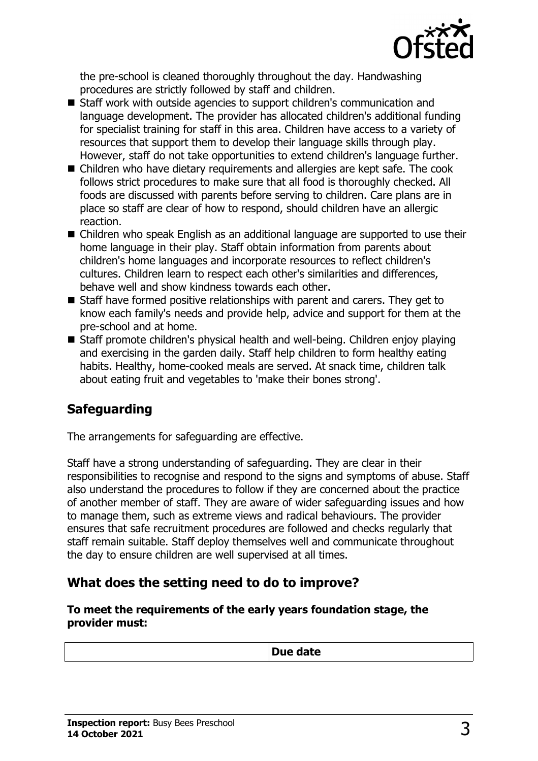

the pre-school is cleaned thoroughly throughout the day. Handwashing procedures are strictly followed by staff and children.

- Staff work with outside agencies to support children's communication and language development. The provider has allocated children's additional funding for specialist training for staff in this area. Children have access to a variety of resources that support them to develop their language skills through play. However, staff do not take opportunities to extend children's language further.
- Children who have dietary requirements and allergies are kept safe. The cook follows strict procedures to make sure that all food is thoroughly checked. All foods are discussed with parents before serving to children. Care plans are in place so staff are clear of how to respond, should children have an allergic reaction.
- Children who speak English as an additional language are supported to use their home language in their play. Staff obtain information from parents about children's home languages and incorporate resources to reflect children's cultures. Children learn to respect each other's similarities and differences, behave well and show kindness towards each other.
- $\blacksquare$  Staff have formed positive relationships with parent and carers. They get to know each family's needs and provide help, advice and support for them at the pre-school and at home.
- $\blacksquare$  Staff promote children's physical health and well-being. Children enjoy playing and exercising in the garden daily. Staff help children to form healthy eating habits. Healthy, home-cooked meals are served. At snack time, children talk about eating fruit and vegetables to 'make their bones strong'.

# **Safeguarding**

The arrangements for safeguarding are effective.

Staff have a strong understanding of safeguarding. They are clear in their responsibilities to recognise and respond to the signs and symptoms of abuse. Staff also understand the procedures to follow if they are concerned about the practice of another member of staff. They are aware of wider safeguarding issues and how to manage them, such as extreme views and radical behaviours. The provider ensures that safe recruitment procedures are followed and checks regularly that staff remain suitable. Staff deploy themselves well and communicate throughout the day to ensure children are well supervised at all times.

## **What does the setting need to do to improve?**

**To meet the requirements of the early years foundation stage, the provider must:**

|  | Due date |  |
|--|----------|--|
|--|----------|--|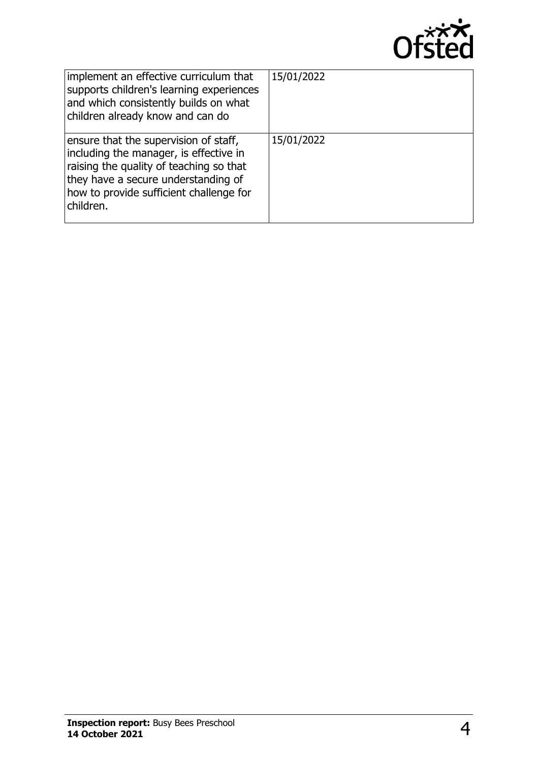

| implement an effective curriculum that<br>supports children's learning experiences<br>and which consistently builds on what<br>children already know and can do                                                           | 15/01/2022 |
|---------------------------------------------------------------------------------------------------------------------------------------------------------------------------------------------------------------------------|------------|
| ensure that the supervision of staff,<br>including the manager, is effective in<br>raising the quality of teaching so that<br>they have a secure understanding of<br>how to provide sufficient challenge for<br>children. | 15/01/2022 |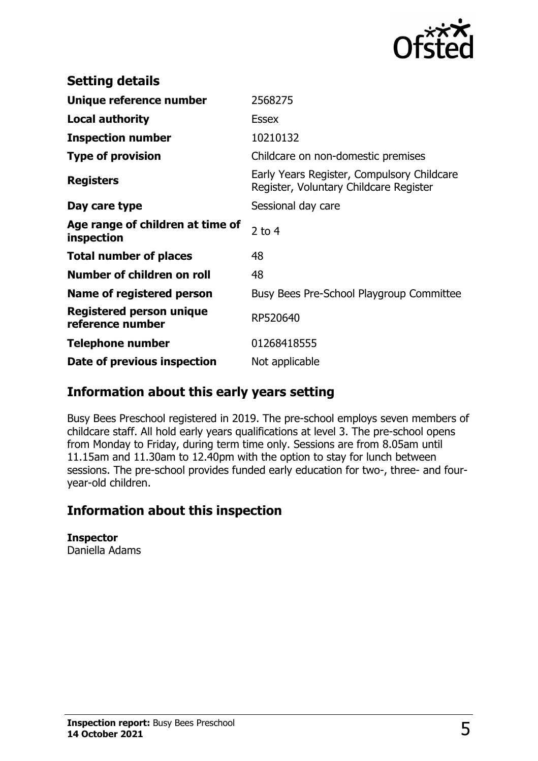

| <b>Setting details</b>                              |                                                                                      |
|-----------------------------------------------------|--------------------------------------------------------------------------------------|
| Unique reference number                             | 2568275                                                                              |
| Local authority                                     | Essex                                                                                |
| <b>Inspection number</b>                            | 10210132                                                                             |
| <b>Type of provision</b>                            | Childcare on non-domestic premises                                                   |
| <b>Registers</b>                                    | Early Years Register, Compulsory Childcare<br>Register, Voluntary Childcare Register |
| Day care type                                       | Sessional day care                                                                   |
| Age range of children at time of<br>inspection      | 2 to $4$                                                                             |
| <b>Total number of places</b>                       | 48                                                                                   |
| Number of children on roll                          | 48                                                                                   |
| Name of registered person                           | Busy Bees Pre-School Playgroup Committee                                             |
| <b>Registered person unique</b><br>reference number | RP520640                                                                             |
| <b>Telephone number</b>                             | 01268418555                                                                          |
| Date of previous inspection                         | Not applicable                                                                       |

## **Information about this early years setting**

Busy Bees Preschool registered in 2019. The pre-school employs seven members of childcare staff. All hold early years qualifications at level 3. The pre-school opens from Monday to Friday, during term time only. Sessions are from 8.05am until 11.15am and 11.30am to 12.40pm with the option to stay for lunch between sessions. The pre-school provides funded early education for two-, three- and fouryear-old children.

## **Information about this inspection**

**Inspector** Daniella Adams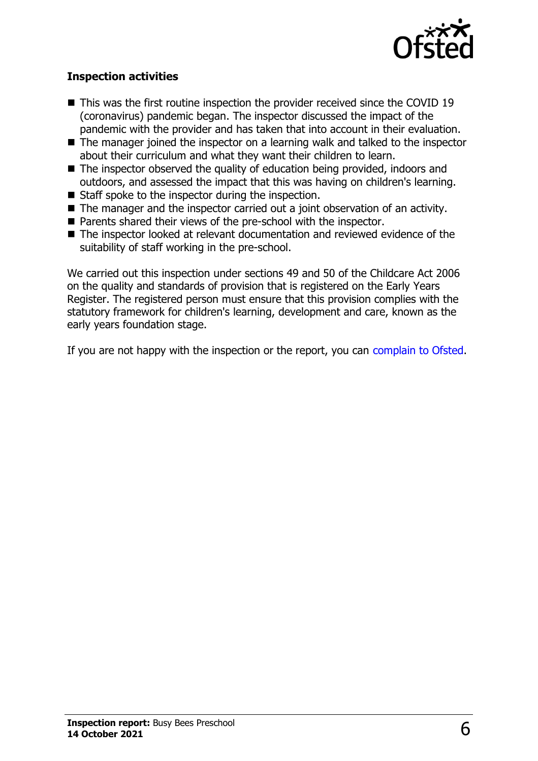

#### **Inspection activities**

- $\blacksquare$  This was the first routine inspection the provider received since the COVID 19 (coronavirus) pandemic began. The inspector discussed the impact of the pandemic with the provider and has taken that into account in their evaluation.
- $\blacksquare$  The manager joined the inspector on a learning walk and talked to the inspector about their curriculum and what they want their children to learn.
- $\blacksquare$  The inspector observed the quality of education being provided, indoors and outdoors, and assessed the impact that this was having on children's learning.
- $\blacksquare$  Staff spoke to the inspector during the inspection.
- $\blacksquare$  The manager and the inspector carried out a joint observation of an activity.
- $\blacksquare$  Parents shared their views of the pre-school with the inspector.
- The inspector looked at relevant documentation and reviewed evidence of the suitability of staff working in the pre-school.

We carried out this inspection under sections 49 and 50 of the Childcare Act 2006 on the quality and standards of provision that is registered on the Early Years Register. The registered person must ensure that this provision complies with the statutory framework for children's learning, development and care, known as the early years foundation stage.

If you are not happy with the inspection or the report, you can [complain to Ofsted](http://www.gov.uk/complain-ofsted-report).